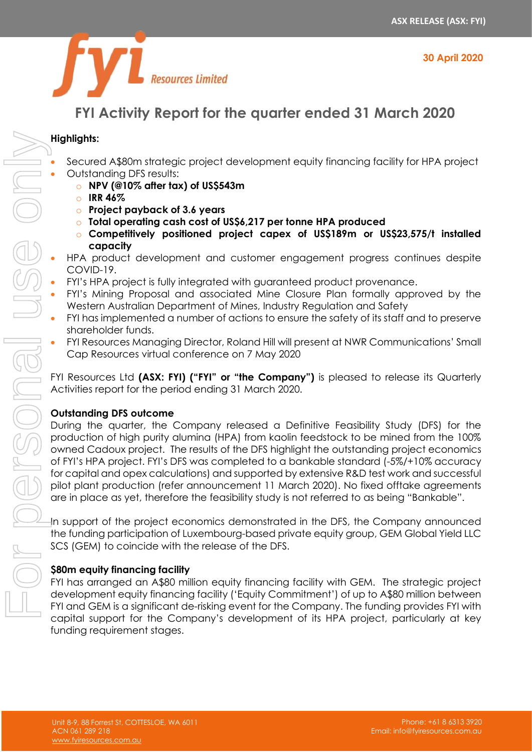



# **FYI Activity Report for the quarter ended 31 March 2020**

# **Highlights:**

- Secured A\$80m strategic project development equity financing facility for HPA project • Outstanding DFS results:
	- o **NPV (@10% after tax) of US\$543m**
	- o **IRR 46%**
	- o **Project payback of 3.6 years**
	- o **Total operating cash cost of US\$6,217 per tonne HPA produced**
	- o **Competitively positioned project capex of US\$189m or US\$23,575/t installed capacity**
- HPA product development and customer engagement progress continues despite COVID-19.
- FYI's HPA project is fully integrated with guaranteed product provenance.
- FYI's Mining Proposal and associated Mine Closure Plan formally approved by the Western Australian Department of Mines, Industry Regulation and Safety
- FYI has implemented a number of actions to ensure the safety of its staff and to preserve shareholder funds.
- FYI Resources Managing Director, Roland Hill will present at NWR Communications' Small Cap Resources virtual conference on 7 May 2020

FYI Resources Ltd **(ASX: FYI) ("FYI" or "the Company")** is pleased to release its Quarterly Activities report for the period ending 31 March 2020.

# **Outstanding DFS outcome**

During the quarter, the Company released a Definitive Feasibility Study (DFS) for the production of high purity alumina (HPA) from kaolin feedstock to be mined from the 100% owned Cadoux project. The results of the DFS highlight the outstanding project economics of FYI's HPA project. FYI's DFS was completed to a bankable standard (-5%/+10% accuracy for capital and opex calculations) and supported by extensive R&D test work and successful pilot plant production (refer announcement 11 March 2020). No fixed offtake agreements are in place as yet, therefore the feasibility study is not referred to as being "Bankable". Figure of ARCm strategic project development or division from the Archives of the Company's development of the Company's development of the Company's development of the Company's development of the Company's development of

In support of the project economics demonstrated in the DFS, the Company announced the funding participation of Luxembourg-based private equity group, GEM Global Yield LLC SCS (GEM) to coincide with the release of the DFS.

# **\$80m equity financing facility**

FYI has arranged an A\$80 million equity financing facility with GEM. The strategic project development equity financing facility ('Equity Commitment') of up to A\$80 million between FYI and GEM is a significant de-risking event for the Company. The funding provides FYI with funding requirement stages.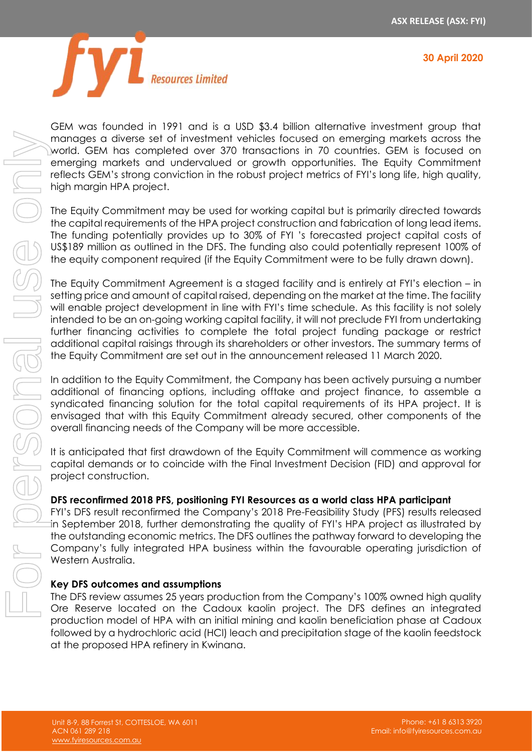



GEM was founded in 1991 and is a USD \$3.4 billion alternative investment group that manages a diverse set of investment vehicles focused on emerging markets across the world. GEM has completed over 370 transactions in 70 countries. GEM is focused on emerging markets and undervalued or growth opportunities. The Equity Commitment reflects GEM's strong conviction in the robust project metrics of FYI's long life, high quality, high margin HPA project.

The Equity Commitment may be used for working capital but is primarily directed towards the capital requirements of the HPA project construction and fabrication of long lead items. The funding potentially provides up to 30% of FYI 's forecasted project capital costs of US\$189 million as outlined in the DFS. The funding also could potentially represent 100% of the equity component required (if the Equity Commitment were to be fully drawn down).

The Equity Commitment Agreement is a staged facility and is entirely at FYI's election – in setting price and amount of capital raised, depending on the market at the time. The facility will enable project development in line with FYI's time schedule. As this facility is not solely intended to be an on-going working capital facility, it will not preclude FYI from undertaking further financing activities to complete the total project funding package or restrict additional capital raisings through its shareholders or other investors. The summary terms of the Equity Commitment are set out in the announcement released 11 March 2020.

In addition to the Equity Commitment, the Company has been actively pursuing a number additional of financing options, including offtake and project finance, to assemble a syndicated financing solution for the total capital requirements of its HPA project. It is envisaged that with this Equity Commitment already secured, other components of the overall financing needs of the Company will be more accessible.

It is anticipated that first drawdown of the Equity Commitment will commence as working capital demands or to coincide with the Final Investment Decision (FID) and approval for project construction.

### **DFS reconfirmed 2018 PFS, positioning FYI Resources as a world class HPA participant**

FYI's DFS result reconfirmed the Company's 2018 Pre-Feasibility Study (PFS) results released in September 2018, further demonstrating the quality of FYI's HPA project as illustrated by the outstanding economic metrics. The DFS outlines the pathway forward to developing the Company's fully integrated HPA business within the favourable operating jurisdiction of Western Australia.

### **Key DFS outcomes and assumptions**

The DFS review assumes 25 years production from the Company's 100% owned high quality Ore Reserve located on the Cadoux kaolin project. The DFS defines an integrated production model of HPA with an initial mining and kaolin beneficiation phase at Cadoux followed by a hydrochloric acid (HCl) leach and precipitation stage of the kaolin feedstock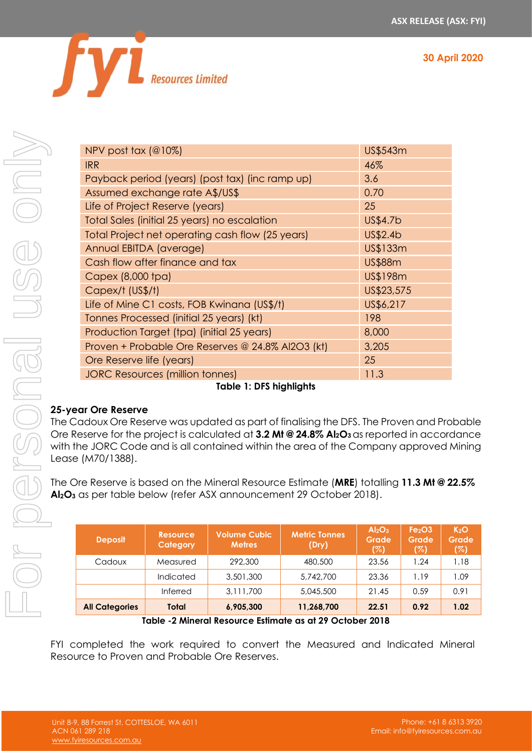**30 April 2020**



|                                                                                                                                                                                                                                                                                                                                                                                                                                         | NPV post tax (@10%)                             |                             |                                                   |                                                                                             | US\$543m                                              |                                                |  |
|-----------------------------------------------------------------------------------------------------------------------------------------------------------------------------------------------------------------------------------------------------------------------------------------------------------------------------------------------------------------------------------------------------------------------------------------|-------------------------------------------------|-----------------------------|---------------------------------------------------|---------------------------------------------------------------------------------------------|-------------------------------------------------------|------------------------------------------------|--|
|                                                                                                                                                                                                                                                                                                                                                                                                                                         | <b>IRR</b>                                      |                             |                                                   |                                                                                             | 46%                                                   |                                                |  |
|                                                                                                                                                                                                                                                                                                                                                                                                                                         | Payback period (years) (post tax) (inc ramp up) |                             |                                                   |                                                                                             |                                                       | 3.6                                            |  |
|                                                                                                                                                                                                                                                                                                                                                                                                                                         | Assumed exchange rate A\$/US\$                  | 0.70                        |                                                   |                                                                                             |                                                       |                                                |  |
|                                                                                                                                                                                                                                                                                                                                                                                                                                         | Life of Project Reserve (years)                 | 25                          |                                                   |                                                                                             |                                                       |                                                |  |
|                                                                                                                                                                                                                                                                                                                                                                                                                                         |                                                 |                             | Total Sales (initial 25 years) no escalation      |                                                                                             | US\$4.7b                                              |                                                |  |
| Total Project net operating cash flow (25 years)                                                                                                                                                                                                                                                                                                                                                                                        |                                                 |                             |                                                   |                                                                                             | US\$2.4b                                              |                                                |  |
| Annual EBITDA (average)                                                                                                                                                                                                                                                                                                                                                                                                                 |                                                 |                             |                                                   |                                                                                             | US\$133m                                              |                                                |  |
|                                                                                                                                                                                                                                                                                                                                                                                                                                         | Cash flow after finance and tax                 |                             |                                                   |                                                                                             | <b>US\$88m</b>                                        |                                                |  |
|                                                                                                                                                                                                                                                                                                                                                                                                                                         | Capex (8,000 tpa)                               |                             |                                                   |                                                                                             | US\$198m                                              |                                                |  |
|                                                                                                                                                                                                                                                                                                                                                                                                                                         | Capex/t (US\$/t)                                |                             |                                                   |                                                                                             | US\$23,575                                            |                                                |  |
|                                                                                                                                                                                                                                                                                                                                                                                                                                         |                                                 |                             | Life of Mine C1 costs, FOB Kwinana (US\$/t)       |                                                                                             | US\$6,217                                             |                                                |  |
|                                                                                                                                                                                                                                                                                                                                                                                                                                         | Tonnes Processed (initial 25 years) (kt)        |                             |                                                   |                                                                                             | 198                                                   |                                                |  |
|                                                                                                                                                                                                                                                                                                                                                                                                                                         |                                                 |                             | Production Target (tpa) (initial 25 years)        |                                                                                             | 8,000                                                 |                                                |  |
|                                                                                                                                                                                                                                                                                                                                                                                                                                         |                                                 |                             | Proven + Probable Ore Reserves @ 24.8% Al2O3 (kt) |                                                                                             | 3,205                                                 |                                                |  |
|                                                                                                                                                                                                                                                                                                                                                                                                                                         | Ore Reserve life (years)                        |                             |                                                   |                                                                                             | 25                                                    |                                                |  |
|                                                                                                                                                                                                                                                                                                                                                                                                                                         | <b>JORC Resources (million tonnes)</b>          |                             |                                                   |                                                                                             |                                                       | 11.3                                           |  |
|                                                                                                                                                                                                                                                                                                                                                                                                                                         |                                                 |                             | <b>Table 1: DFS highlights</b>                    |                                                                                             |                                                       |                                                |  |
| <b>25-year Ore Reserve</b><br>The Cadoux Ore Reserve was updated as part of finalising the DFS. The Proven and Pro<br>Ore Reserve for the project is calculated at 3.2 Mt @ 24.8% Al <sub>2</sub> O <sub>3</sub> as reported in accord<br>with the JORC Code and is all contained within the area of the Company approved<br>Lease (M70/1388).<br>The Ore Reserve is based on the Mineral Resource Estimate (MRE) totalling 11.3 Mt @ 2 |                                                 |                             |                                                   |                                                                                             |                                                       |                                                |  |
|                                                                                                                                                                                                                                                                                                                                                                                                                                         |                                                 |                             |                                                   | Al <sub>2</sub> O <sub>3</sub> as per table below (refer ASX announcement 29 October 2018). |                                                       |                                                |  |
|                                                                                                                                                                                                                                                                                                                                                                                                                                         | <b>Deposit</b>                                  | <b>Resource</b><br>Category | <b>Volume Cubic</b><br><b>Metres</b>              | <b>Metric Tonnes</b><br>(Dry)                                                               | Al <sub>2</sub> O <sub>3</sub><br><b>Grade</b><br>(%) | Fe <sub>2</sub> O <sub>3</sub><br>Grade<br>(%) |  |
|                                                                                                                                                                                                                                                                                                                                                                                                                                         | Cadoux                                          | Measured                    | 292,300                                           | 480,500                                                                                     | 23.56                                                 | 1.24                                           |  |
|                                                                                                                                                                                                                                                                                                                                                                                                                                         |                                                 | Indicated                   | 3,501,300                                         | 5,742,700                                                                                   | 23.36                                                 | 1.19                                           |  |
|                                                                                                                                                                                                                                                                                                                                                                                                                                         |                                                 | Inferred                    | 3,111,700                                         | 5,045,500                                                                                   | 21.45                                                 | 0.59                                           |  |
|                                                                                                                                                                                                                                                                                                                                                                                                                                         | <b>All Categories</b>                           | <b>Total</b>                | 6,905,300                                         | 11,268,700                                                                                  | 22.51                                                 | 0.92                                           |  |
|                                                                                                                                                                                                                                                                                                                                                                                                                                         |                                                 |                             |                                                   |                                                                                             |                                                       |                                                |  |
| Table -2 Mineral Resource Estimate as at 29 October 2018<br>FYI completed the work required to convert the Measured and Indicated Mi<br>Resource to Proven and Probable Ore Reserves.                                                                                                                                                                                                                                                   |                                                 |                             |                                                   |                                                                                             |                                                       |                                                |  |

**Table 1: DFS highlights**

# **25-year Ore Reserve**

The Cadoux Ore Reserve was updated as part of finalising the DFS. The Proven and Probable Ore Reserve for the project is calculated at **3.2 Mt @ 24.8% Al2O3** as reported in accordance with the JORC Code and is all contained within the area of the Company approved Mining Lease (M70/1388).

The Ore Reserve is based on the Mineral Resource Estimate (**MRE**) totalling **11.3 Mt @ 22.5% Al2O<sup>3</sup>** as per table below (refer ASX announcement 29 October 2018).

| <b>Deposit</b>        | <b>Resource</b><br>Category | <b>Volume Cubic</b><br><b>Metres</b> | <b>Metric Tonnes</b><br>(Dry) | Al <sub>2</sub> O <sub>3</sub><br><b>Grade</b><br>(%) | Fe <sub>2</sub> O <sub>3</sub><br>Grade<br>(%) | K <sub>2</sub> O<br><b>Grade</b><br>(%) |
|-----------------------|-----------------------------|--------------------------------------|-------------------------------|-------------------------------------------------------|------------------------------------------------|-----------------------------------------|
| Cadoux                | Measured                    | 292,300                              | 480,500                       | 23.56                                                 | .24                                            | 1.18                                    |
|                       | Indicated                   | 3,501,300                            | 5,742,700                     | 23.36                                                 | 1.19                                           | 1.09                                    |
|                       | Inferred                    | 3,111,700                            | 5,045,500                     | 21.45                                                 | 0.59                                           | 0.91                                    |
| <b>All Categories</b> | Total                       | 6,905,300                            | 11,268,700                    | 22.51                                                 | 0.92                                           | 1.02                                    |

FYI completed the work required to convert the Measured and Indicated Mineral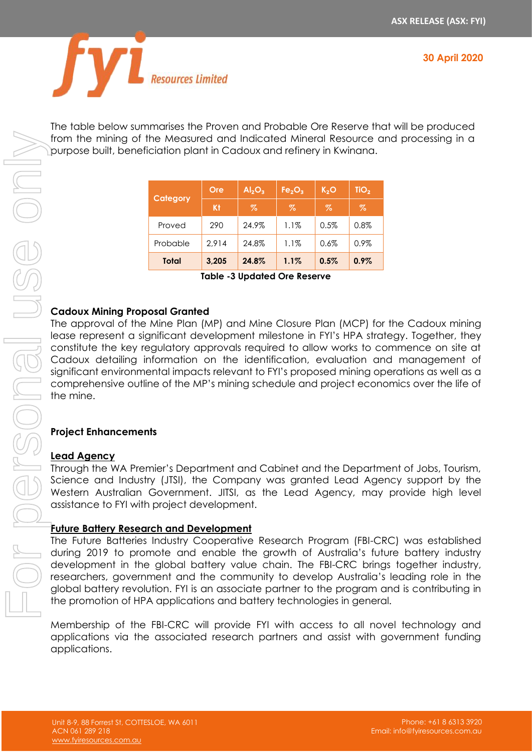



The table below summarises the Proven and Probable Ore Reserve that will be produced from the mining of the Measured and Indicated Mineral Resource and processing in a purpose built, beneficiation plant in Cadoux and refinery in Kwinana.

|              | Ore   | Al <sub>2</sub> O <sub>3</sub> | Fe <sub>2</sub> O <sub>3</sub> | K <sub>2</sub> O | TiO <sub>2</sub> |
|--------------|-------|--------------------------------|--------------------------------|------------------|------------------|
| Category     | Kt    | $\%$                           | Z                              | $\%$             | $\%$             |
| Proved       | 290   | 24.9%                          | 1.1%                           | 0.5%             | 0.8%             |
| Probable     | 2.914 | 24.8%                          | 1.1%                           | 0.6%             | 0.9%             |
| <b>Total</b> | 3,205 | 24.8%                          | 1.1%                           | 0.5%             | $0.9\%$          |

**Table -3 Updated Ore Reserve**

# **Cadoux Mining Proposal Granted**

The approval of the Mine Plan (MP) and Mine Closure Plan (MCP) for the Cadoux mining lease represent a significant development milestone in FYI's HPA strategy. Together, they constitute the key regulatory approvals required to allow works to commence on site at Cadoux detailing information on the identification, evaluation and management of significant environmental impacts relevant to FYI's proposed mining operations as well as a comprehensive outline of the MP's mining schedule and project economics over the life of the mine.

### **Project Enhancements**

### **Lead Agency**

Through the WA Premier's Department and Cabinet and the Department of Jobs, Tourism, Science and Industry (JTSI), the Company was granted Lead Agency support by the Western Australian Government. JITSI, as the Lead Agency, may provide high level assistance to FYI with project development.

### **Future Battery Research and Development**

The Future Batteries Industry Cooperative Research Program (FBI-CRC) was established during 2019 to promote and enable the growth of Australia's future battery industry development in the global battery value chain. The FBI-CRC brings together industry, researchers, government and the community to develop Australia's leading role in the global battery revolution. FYI is an associate partner to the program and is contributing in the promotion of HPA applications and battery technologies in general.

Membership of the FBI-CRC will provide FYI with access to all novel technology and applications via the associated research partners and assist with government funding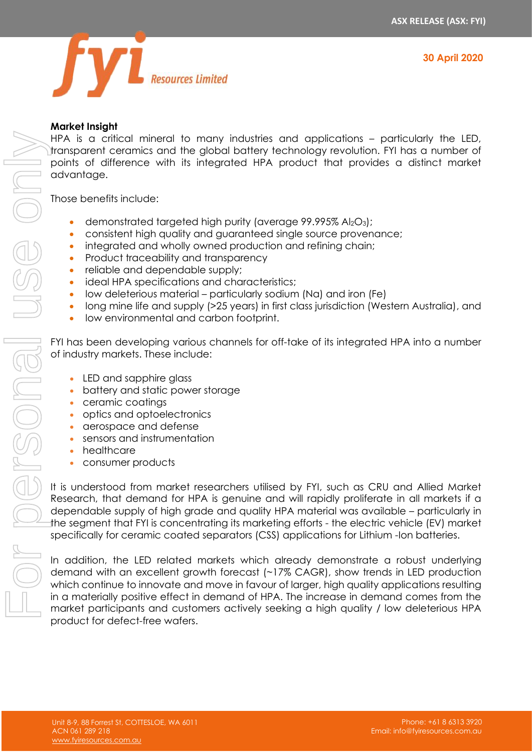



# **Market Insight**

HPA is a critical mineral to many industries and applications – particularly the LED, transparent ceramics and the global battery technology revolution. FYI has a number of points of difference with its integrated HPA product that provides a distinct market advantage.

Those benefits include:

- demonstrated targeted high purity (average  $99.995\%$  Al<sub>2</sub>O<sub>3</sub>);
- consistent high quality and guaranteed single source provenance;
- integrated and wholly owned production and refining chain:
- Product traceability and transparency
- reliable and dependable supply;
- ideal HPA specifications and characteristics:
- low deleterious material particularly sodium (Na) and iron (Fe)
- long mine life and supply (>25 years) in first class jurisdiction (Western Australia), and
- low environmental and carbon footprint.

FYI has been developing various channels for off-take of its integrated HPA into a number of industry markets. These include:

- LED and sapphire glass
- battery and static power storage
- ceramic coatings
- optics and optoelectronics
- aerospace and defense
- sensors and instrumentation
- healthcare
- consumer products

It is understood from market researchers utilised by FYI, such as CRU and Allied Market Research, that demand for HPA is genuine and will rapidly proliferate in all markets if a dependable supply of high grade and quality HPA material was available – particularly in the segment that FYI is concentrating its marketing efforts - the electric vehicle (EV) market specifically for ceramic coated separators (CSS) applications for Lithium -Ion batteries.

In addition, the LED related markets which already demonstrate a robust underlying demand with an excellent growth forecast (~17% CAGR), show trends in LED production which continue to innovate and move in favour of larger, high quality applications resulting in a materially positive effect in demand of HPA. The increase in demand comes from the mark is a citical minimizar to may include the may include the result of the results of the marginal profits of the material of the material of the personal use of the personal use of the personal use of the personal use o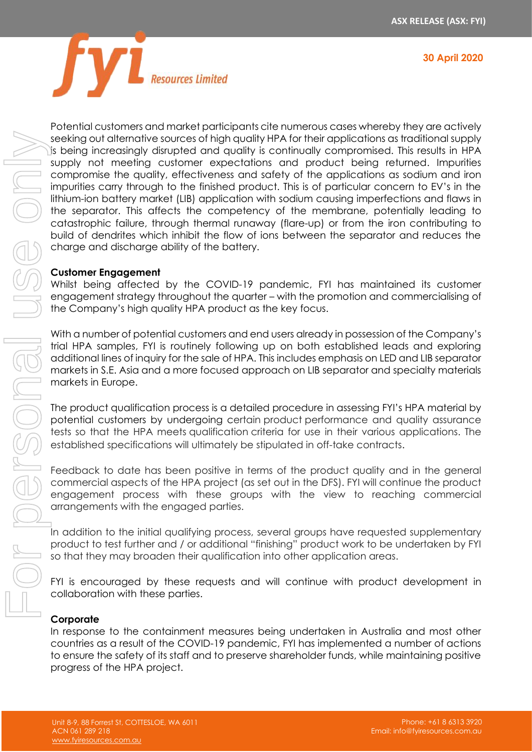



beeking out diternative sources in the seing increasingly disrupt supply not meeting custocompromise the quality, efficient in this experiment of the separator. This affects catastrophic failure, througe build of dendrites

Potential customers and market participants cite numerous cases whereby they are actively seeking out alternative sources of high quality HPA for their applications as traditional supply is being increasingly disrupted and quality is continually compromised. This results in HPA supply not meeting customer expectations and product being returned. Impurities compromise the quality, effectiveness and safety of the applications as sodium and iron impurities carry through to the finished product. This is of particular concern to EV's in the lithium-ion battery market (LIB) application with sodium causing imperfections and flaws in the separator. This affects the competency of the membrane, potentially leading to catastrophic failure, through thermal runaway (flare-up) or from the iron contributing to build of dendrites which inhibit the flow of ions between the separator and reduces the charge and discharge ability of the battery.

### **Customer Engagement**

Whilst being affected by the COVID-19 pandemic, FYI has maintained its customer engagement strategy throughout the quarter – with the promotion and commercialising of the Company's high quality HPA product as the key focus.

With a number of potential customers and end users already in possession of the Company's trial HPA samples, FYI is routinely following up on both established leads and exploring additional lines of inquiry for the sale of HPA. This includes emphasis on LED and LIB separator markets in S.E. Asia and a more focused approach on LIB separator and specialty materials markets in Europe.

The product qualification process is a detailed procedure in assessing FYI's HPA material by potential customers by undergoing certain product performance and quality assurance tests so that the HPA meets qualification criteria for use in their various applications. The established specifications will ultimately be stipulated in off-take contracts.

Feedback to date has been positive in terms of the product quality and in the general commercial aspects of the HPA project (as set out in the DFS). FYI will continue the product engagement process with these groups with the view to reaching commercial arrangements with the engaged parties.

In addition to the initial qualifying process, several groups have requested supplementary product to test further and / or additional "finishing" product work to be undertaken by FYI so that they may broaden their qualification into other application areas.

FYI is encouraged by these requests and will continue with product development in collaboration with these parties.

# **Corporate**

In response to the containment measures being undertaken in Australia and most other countries as a result of the COVID-19 pandemic, FYI has implemented a number of actions to ensure the safety of its staff and to preserve shareholder funds, while maintaining positive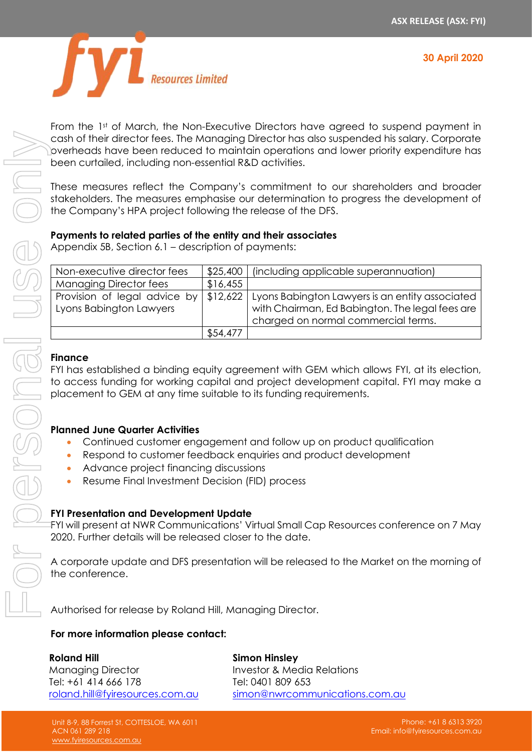

From the 1st of March, the Non-Executive Directors have agreed to suspend payment in cash of their director fees. The Managing Director has also suspended his salary. Corporate overheads have been reduced to maintain operations and lower priority expenditure has been curtailed, including non-essential R&D activities.

These measures reflect the Company's commitment to our shareholders and broader stakeholders. The measures emphasise our determination to progress the development of the Company's HPA project following the release of the DFS.

### **Payments to related parties of the entity and their associates**

Appendix 5B, Section 6.1 – description of payments:

| Non-executive director fees                             |          | \$25,400   (including applicable superannuation)                                                                                          |
|---------------------------------------------------------|----------|-------------------------------------------------------------------------------------------------------------------------------------------|
| <b>Managing Director fees</b>                           | \$16,455 |                                                                                                                                           |
| Provision of legal advice by<br>Lyons Babington Lawyers | \$12,622 | Lyons Babington Lawyers is an entity associated<br>with Chairman, Ed Babington. The legal fees are<br>charged on normal commercial terms. |
|                                                         | \$54,477 |                                                                                                                                           |

### **Finance**

FYI has established a binding equity agreement with GEM which allows FYI, at its election, to access funding for working capital and project development capital. FYI may make a placement to GEM at any time suitable to its funding requirements.

### **Planned June Quarter Activities**

- Continued customer engagement and follow up on product qualification
- Respond to customer feedback enquiries and product development
- Advance project financing discussions
- Resume Final Investment Decision (FID) process

### **FYI Presentation and Development Update**

FYI will present at NWR Communications' Virtual Small Cap Resources conference on 7 May 2020. Further details will be released closer to the date.

A corporate update and DFS presentation will be released to the Market on the morning of the conference.

Authorised for release by Roland Hill, Managing Director.

### **For more information please contact:**

**Roland Hill** Managing Director Tel: +61 414 666 178 [roland.hill@fyiresources.com.au](mailto:roland.hill@fyiresources.com.au) **Simon Hinsley** Investor & Media Relations Tel: 0401 809 653 [simon@nwrcommunications.com.au](mailto:simon@nwrcommunications.com.au)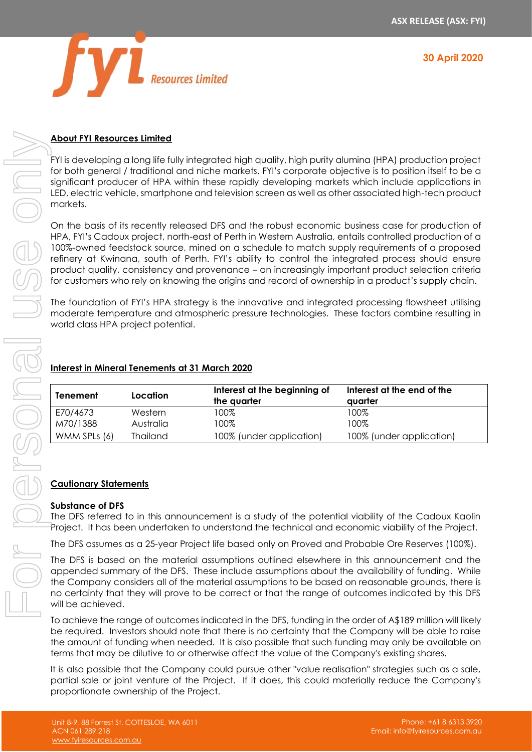**30 April 2020**



#### **About FYI Resources Limited**

FYI is developing a long life fully integrated high quality, high purity alumina (HPA) production project for both general / traditional and niche markets. FYI's corporate objective is to position itself to be a significant producer of HPA within these rapidly developing markets which include applications in LED, electric vehicle, smartphone and television screen as well as other associated high-tech product markets.

On the basis of its recently released DFS and the robust economic business case for production of HPA, FYI's Cadoux project, north-east of Perth in Western Australia, entails controlled production of a 100%-owned feedstock source, mined on a schedule to match supply requirements of a proposed refinery at Kwinana, south of Perth. FYI's ability to control the integrated process should ensure product quality, consistency and provenance – an increasingly important product selection criteria for customers who rely on knowing the origins and record of ownership in a product's supply chain.

The foundation of FYI's HPA strategy is the innovative and integrated processing flowsheet utilising moderate temperature and atmospheric pressure technologies. These factors combine resulting in world class HPA project potential.

## **Interest in Mineral Tenements at 31 March 2020**

| <b>Tenement</b> | Location        | Interest at the beginning of<br>the quarter | Interest at the end of the<br>auarter |
|-----------------|-----------------|---------------------------------------------|---------------------------------------|
| E70/4673        | Western         | 100%                                        | 100%                                  |
| M70/1388        | Australia       | 100%                                        | 100%                                  |
| WMM SPLs (6)    | <b>Thailand</b> | 100% (under application)                    | 100% (under application)              |

### **Cautionary Statements**

#### **Substance of DFS**

The DFS referred to in this announcement is a study of the potential viability of the Cadoux Kaolin Project. It has been undertaken to understand the technical and economic viability of the Project.

The DFS assumes as a 25-year Project life based only on Proved and Probable Ore Reserves (100%).

The DFS is based on the material assumptions outlined elsewhere in this announcement and the appended summary of the DFS. These include assumptions about the availability of funding. While the Company considers all of the material assumptions to be based on reasonable grounds, there is no certainty that they will prove to be correct or that the range of outcomes indicated by this DFS will be achieved.

To achieve the range of outcomes indicated in the DFS, funding in the order of A\$189 million will likely be required. Investors should note that there is no certainty that the Company will be able to raise the amount of funding when needed. It is also possible that such funding may only be available on terms that may be dilutive to or otherwise affect the value of the Company's existing shares.

It is also possible that the Company could pursue other "value realisation" strategies such as a sale, partial sale or joint venture of the Project. If it does, this could materially reduce the Company's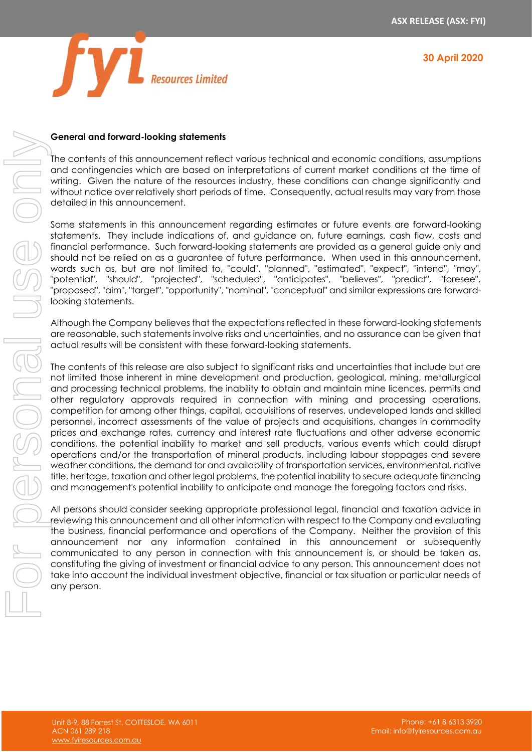



## **General and forward-looking statements**

The contents of this announcement reflect various technical and economic conditions, assumptions and contingencies which are based on interpretations of current market conditions at the time of writing. Given the nature of the resources industry, these conditions can change significantly and without notice over relatively short periods of time. Consequently, actual results may vary from those detailed in this announcement.

Some statements in this announcement regarding estimates or future events are forward-looking statements. They include indications of, and guidance on, future earnings, cash flow, costs and financial performance. Such forward-looking statements are provided as a general guide only and should not be relied on as a guarantee of future performance. When used in this announcement, words such as, but are not limited to, "could", "planned", "estimated", "expect", "intend", "may", "potential", "should", "projected", "scheduled", "anticipates", "believes", "predict", "foresee", "proposed", "aim", "target", "opportunity", "nominal", "conceptual" and similar expressions are forwardlooking statements.

Although the Company believes that the expectations reflected in these forward-looking statements are reasonable, such statements involve risks and uncertainties, and no assurance can be given that actual results will be consistent with these forward-looking statements.

The contents of this release are also subject to significant risks and uncertainties that include but are not limited those inherent in mine development and production, geological, mining, metallurgical and processing technical problems, the inability to obtain and maintain mine licences, permits and other regulatory approvals required in connection with mining and processing operations, competition for among other things, capital, acquisitions of reserves, undeveloped lands and skilled personnel, incorrect assessments of the value of projects and acquisitions, changes in commodity prices and exchange rates, currency and interest rate fluctuations and other adverse economic conditions, the potential inability to market and sell products, various events which could disrupt operations and/or the transportation of mineral products, including labour stoppages and severe weather conditions, the demand for and availability of transportation services, environmental, native title, heritage, taxation and other legal problems, the potential inability to secure adequate financing and management's potential inability to anticipate and manage the foregoing factors and risks.

All persons should consider seeking appropriate professional legal, financial and taxation advice in reviewing this announcement and all other information with respect to the Company and evaluating the business, financial performance and operations of the Company. Neither the provision of this announcement nor any information contained in this announcement or subsequently communicated to any person in connection with this announcement is, or should be taken as, constituting the giving of investment or financial advice to any person. This announcement does not take into account the individual investment objective, financial or tax situation or particular needs of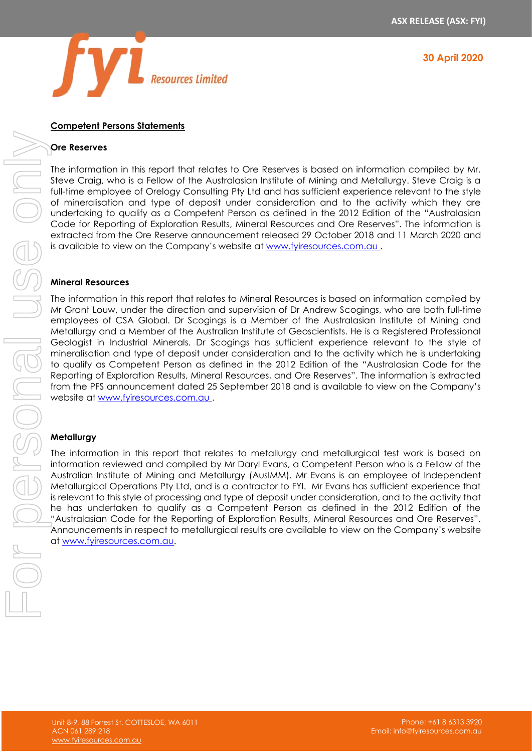

**30 April 2020**

#### **Competent Persons Statements**

#### **Ore Reserves**

The information in this report that relates to Ore Reserves is based on information compiled by Mr. Steve Craig, who is a Fellow of the Australasian Institute of Mining and Metallurgy. Steve Craig is a full-time employee of Orelogy Consulting Pty Ltd and has sufficient experience relevant to the style of mineralisation and type of deposit under consideration and to the activity which they are undertaking to qualify as a Competent Person as defined in the 2012 Edition of the "Australasian Code for Reporting of Exploration Results, Mineral Resources and Ore Reserves". The information is extracted from the Ore Reserve announcement released 29 October 2018 and 11 March 2020 and is available to view on the Company's website at [www.fyiresources.com.au](http://www.fyiresources.com.au/) .

#### **Mineral Resources**

The information in this report that relates to Mineral Resources is based on information compiled by Mr Grant Louw, under the direction and supervision of Dr Andrew Scogings, who are both full-time employees of CSA Global. Dr Scogings is a Member of the Australasian Institute of Mining and Metallurgy and a Member of the Australian Institute of Geoscientists. He is a Registered Professional Geologist in Industrial Minerals. Dr Scogings has sufficient experience relevant to the style of mineralisation and type of deposit under consideration and to the activity which he is undertaking to qualify as Competent Person as defined in the 2012 Edition of the "Australasian Code for the Reporting of Exploration Results, Mineral Resources, and Ore Reserves". The information is extracted from the PFS announcement dated 25 September 2018 and is available to view on the Company's website at [www.fyiresources.com.au](http://www.fyiresources.com.au/) .

#### **Metallurgy**

The information in this report that relates to metallurgy and metallurgical test work is based on information reviewed and compiled by Mr Daryl Evans, a Competent Person who is a Fellow of the Australian Institute of Mining and Metallurgy (AusIMM). Mr Evans is an employee of Independent Metallurgical Operations Pty Ltd, and is a contractor to FYI. Mr Evans has sufficient experience that is relevant to this style of processing and type of deposit under consideration, and to the activity that he has undertaken to qualify as a Competent Person as defined in the 2012 Edition of the "Australasian Code for the Reporting of Exploration Results, Mineral Resources and Ore Reserves". Announcements in respect to metallurgical results are available to view on the Company's website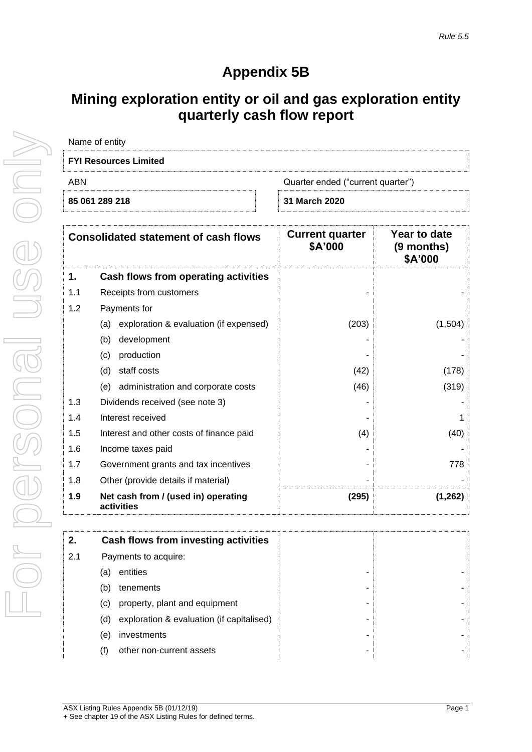# **Appendix 5B**

# **Mining exploration entity or oil and gas exploration entity quarterly cash flow report**

| Name of entity               |                                   |
|------------------------------|-----------------------------------|
| <b>FYI Resources Limited</b> |                                   |
| ABN                          | Quarter ended ("current quarter") |
| 85 061 289 218               | 31 March 2020                     |

| <b>Consolidated statement of cash flows</b> |                                                   | <b>Current quarter</b><br>\$A'000 | Year to date<br>(9 months)<br>\$A'000 |
|---------------------------------------------|---------------------------------------------------|-----------------------------------|---------------------------------------|
| 1.                                          | Cash flows from operating activities              |                                   |                                       |
| 1.1                                         | Receipts from customers                           |                                   |                                       |
| 1.2                                         | Payments for                                      |                                   |                                       |
|                                             | exploration & evaluation (if expensed)<br>(a)     | (203)                             | (1,504)                               |
|                                             | (b)<br>development                                |                                   |                                       |
|                                             | production<br>(c)                                 |                                   |                                       |
|                                             | (d)<br>staff costs                                | (42)                              | (178)                                 |
|                                             | administration and corporate costs<br>(e)         | (46)                              | (319)                                 |
| 1.3                                         | Dividends received (see note 3)                   |                                   |                                       |
| 1.4                                         | Interest received                                 |                                   |                                       |
| 1.5                                         | Interest and other costs of finance paid          | (4)                               | (40)                                  |
| 1.6                                         | Income taxes paid                                 |                                   |                                       |
| 1.7                                         | Government grants and tax incentives              |                                   | 778                                   |
| 1.8                                         | Other (provide details if material)               |                                   |                                       |
| 1.9                                         | Net cash from / (used in) operating<br>activities | (295)                             | (1, 262)                              |

| 2.  | Cash flows from investing activities             |
|-----|--------------------------------------------------|
| 2.1 | Payments to acquire:                             |
|     | entities<br>(a)                                  |
|     | (b)<br>tenements                                 |
|     | property, plant and equipment<br>(C)             |
|     | exploration & evaluation (if capitalised)<br>(d) |
|     | investments<br>(e)                               |
|     | other non-current assets<br>(f)                  |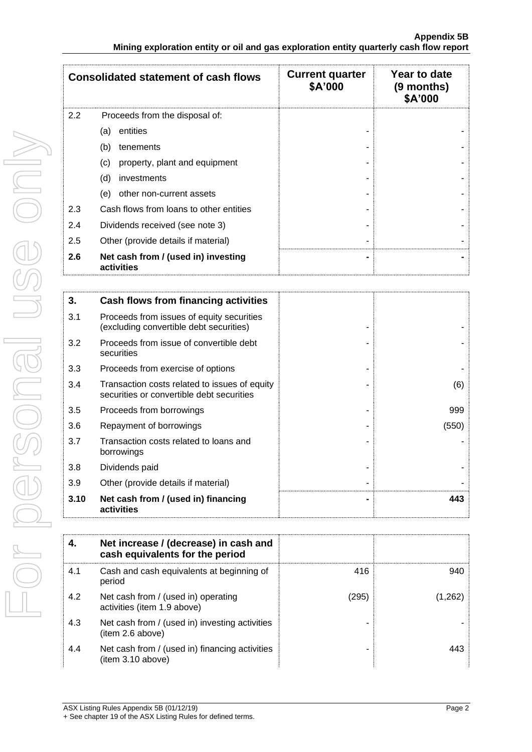| <b>Consolidated statement of cash flows</b> |                                                   | <b>Current quarter</b><br>\$A'000 | Year to date<br>(9 months)<br>\$A'000 |
|---------------------------------------------|---------------------------------------------------|-----------------------------------|---------------------------------------|
| 2.2                                         | Proceeds from the disposal of:                    |                                   |                                       |
|                                             | entities<br>(a)                                   |                                   |                                       |
|                                             | (b)<br>tenements                                  |                                   |                                       |
|                                             | property, plant and equipment<br>(c)              |                                   |                                       |
|                                             | (d)<br>investments                                |                                   |                                       |
|                                             | other non-current assets<br>(e)                   |                                   |                                       |
| 2.3                                         | Cash flows from loans to other entities           |                                   |                                       |
| 2.4                                         | Dividends received (see note 3)                   |                                   |                                       |
| 2.5                                         | Other (provide details if material)               |                                   |                                       |
| 2.6                                         | Net cash from / (used in) investing<br>activities |                                   |                                       |

| 3.   | Cash flows from financing activities                                                       |       |
|------|--------------------------------------------------------------------------------------------|-------|
| 3.1  | Proceeds from issues of equity securities<br>(excluding convertible debt securities)       |       |
| 3.2  | Proceeds from issue of convertible debt<br>securities                                      |       |
| 3.3  | Proceeds from exercise of options                                                          |       |
| 3.4  | Transaction costs related to issues of equity<br>securities or convertible debt securities | (6)   |
| 3.5  | Proceeds from borrowings                                                                   | 999   |
| 3.6  | Repayment of borrowings                                                                    | (550) |
| 3.7  | Transaction costs related to loans and<br>borrowings                                       |       |
| 3.8  | Dividends paid                                                                             |       |
| 3.9  | Other (provide details if material)                                                        |       |
| 3.10 | Net cash from / (used in) financing<br>activities                                          | 443   |

| 4.  | Net increase / (decrease) in cash and<br>cash equivalents for the period |       |                       |
|-----|--------------------------------------------------------------------------|-------|-----------------------|
| 4.1 | Cash and cash equivalents at beginning of<br>period                      | 416   | 940                   |
| 4.2 | Net cash from / (used in) operating<br>activities (item 1.9 above)       | (295) | $\left( 1,262\right)$ |
| 4.3 | Net cash from / (used in) investing activities<br>(item 2.6 above)       |       |                       |
| 4.4 | Net cash from / (used in) financing activities<br>(item 3.10 above)      |       | 443                   |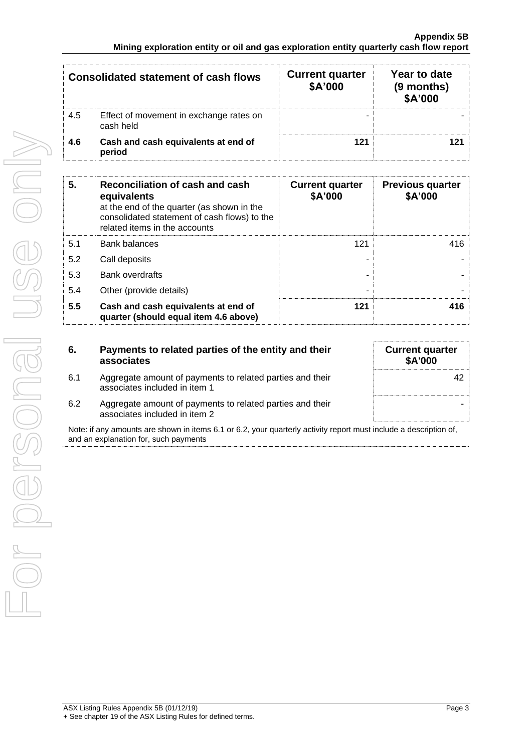| Consolidated statement of cash flows |                                                      | <b>Current quarter</b><br>\$A'000 | Year to date<br>(9 months)<br>\$A'000 |
|--------------------------------------|------------------------------------------------------|-----------------------------------|---------------------------------------|
| 4.5                                  | Effect of movement in exchange rates on<br>cash held |                                   |                                       |
| 4.6                                  | Cash and cash equivalents at end of<br>period        | 121                               |                                       |

| 5.  | Reconciliation of cash and cash<br>equivalents<br>at the end of the quarter (as shown in the<br>consolidated statement of cash flows) to the<br>related items in the accounts | <b>Current quarter</b><br>\$A'000 | <b>Previous quarter</b><br>\$A'000 |
|-----|-------------------------------------------------------------------------------------------------------------------------------------------------------------------------------|-----------------------------------|------------------------------------|
| 5.1 | <b>Bank balances</b>                                                                                                                                                          | 121                               | 416                                |
| 5.2 | Call deposits                                                                                                                                                                 |                                   |                                    |
| 5.3 | <b>Bank overdrafts</b>                                                                                                                                                        |                                   |                                    |
| 5.4 | Other (provide details)                                                                                                                                                       |                                   |                                    |
| 5.5 | Cash and cash equivalents at end of<br>quarter (should equal item 4.6 above)                                                                                                  | 121                               | 416                                |

| 6.  | Payments to related parties of the entity and their<br>associates                          | <b>Current quarter</b><br><b>\$A'000</b> |
|-----|--------------------------------------------------------------------------------------------|------------------------------------------|
| 6.1 | Aggregate amount of payments to related parties and their<br>associates included in item 1 | 42                                       |
| 6.2 | Aggregate amount of payments to related parties and their<br>associates included in item 2 |                                          |

Note: if any amounts are shown in items 6.1 or 6.2, your quarterly activity report must include a description of, and an explanation for, such payments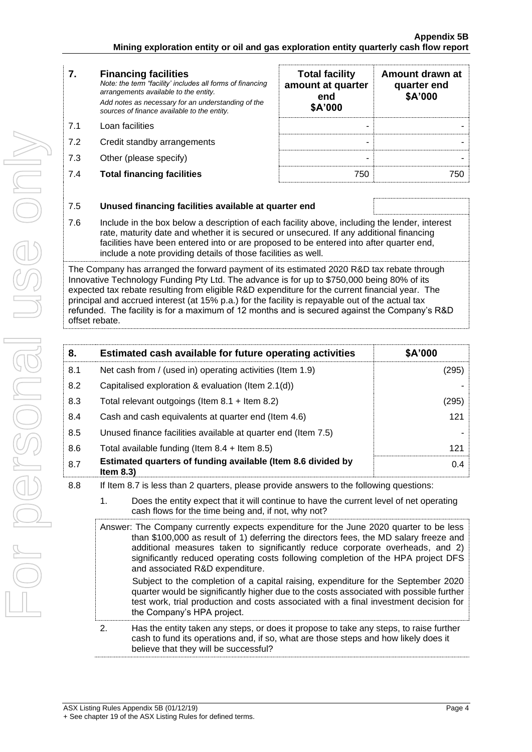| <b>Financing facilities</b><br>7. |  |
|-----------------------------------|--|
|-----------------------------------|--|

*Note: the term "facility' includes all forms of financing arrangements available to the entity. Add notes as necessary for an understanding of the sources of finance available to the entity.*

- 7.1 Loan facilities
- 7.2 Credit standby arrangements
- 7.3 Other (please specify)
- **7.4 Total financing facilities**

| <b>Total facility</b><br>amount at quarter<br>end<br>\$A'000 | Amount drawn at<br>quarter end<br>\$A'000 |  |
|--------------------------------------------------------------|-------------------------------------------|--|
|                                                              |                                           |  |
|                                                              |                                           |  |
|                                                              |                                           |  |

# 7.5 **Unused financing facilities available at quarter end**

7.6 Include in the box below a description of each facility above, including the lender, interest rate, maturity date and whether it is secured or unsecured. If any additional financing facilities have been entered into or are proposed to be entered into after quarter end, include a note providing details of those facilities as well.

The Company has arranged the forward payment of its estimated 2020 R&D tax rebate through Innovative Technology Funding Pty Ltd. The advance is for up to \$750,000 being 80% of its expected tax rebate resulting from eligible R&D expenditure for the current financial year. The principal and accrued interest (at 15% p.a.) for the facility is repayable out of the actual tax refunded. The facility is for a maximum of 12 months and is secured against the Company's R&D offset rebate.

| 8.  | Estimated cash available for future operating activities                                | \$A'000 |
|-----|-----------------------------------------------------------------------------------------|---------|
| 8.1 | Net cash from / (used in) operating activities (Item 1.9)                               | (295)   |
| 8.2 | Capitalised exploration & evaluation (Item 2.1(d))                                      |         |
| 8.3 | Total relevant outgoings (Item $8.1 +$ Item $8.2$ )                                     | (295)   |
| 8.4 | Cash and cash equivalents at quarter end (Item 4.6)                                     | 121     |
| 8.5 | Unused finance facilities available at quarter end (Item 7.5)                           |         |
| 8.6 | Total available funding (Item $8.4 +$ Item $8.5$ )                                      | 121     |
| 8.7 | Estimated quarters of funding available (Item 8.6 divided by<br>Item $8.3$ )            | 0.4     |
| 8.8 | If Item 8.7 is less than 2 quarters, please provide answers to the following questions: |         |

- 1. Does the entity expect that it will continue to have the current level of net operating cash flows for the time being and, if not, why not?
- Answer: The Company currently expects expenditure for the June 2020 quarter to be less than \$100,000 as result of 1) deferring the directors fees, the MD salary freeze and additional measures taken to significantly reduce corporate overheads, and 2) significantly reduced operating costs following completion of the HPA project DFS and associated R&D expenditure. Subject to the completion of a capital raising, expenditure for the September 2020 quarter would be significantly higher due to the costs associated with possible further test work, trial production and costs associated with a final investment decision for the Company's HPA project.
- 2. Has the entity taken any steps, or does it propose to take any steps, to raise further cash to fund its operations and, if so, what are those steps and how likely does it believe that they will be successful?